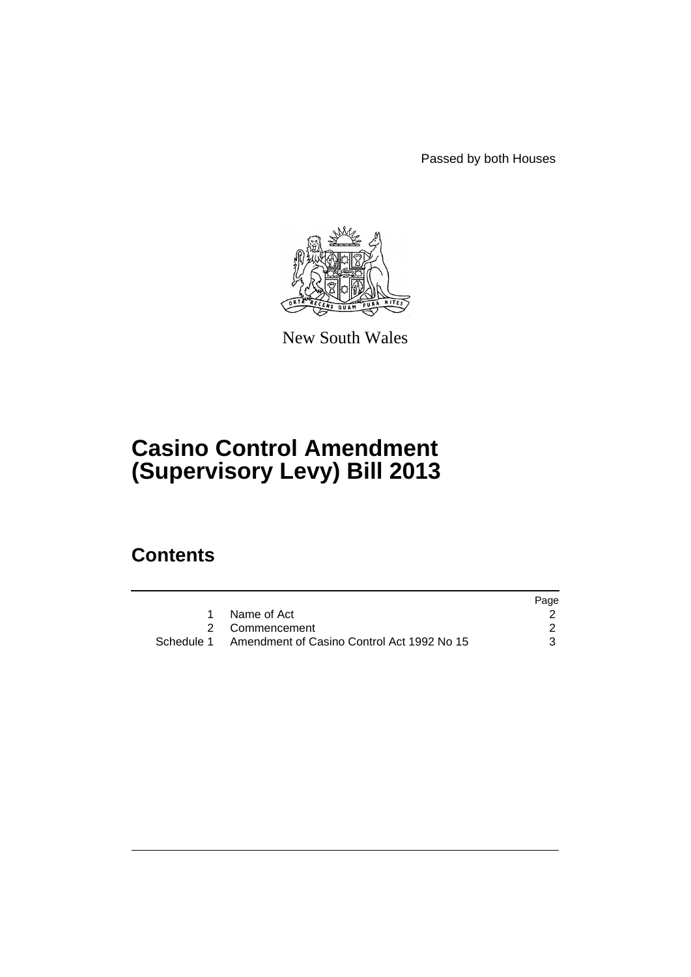Passed by both Houses



New South Wales

# **Casino Control Amendment (Supervisory Levy) Bill 2013**

## **Contents**

|                                                       | Page |
|-------------------------------------------------------|------|
| Name of Act                                           |      |
| 2 Commencement                                        |      |
| Schedule 1 Amendment of Casino Control Act 1992 No 15 |      |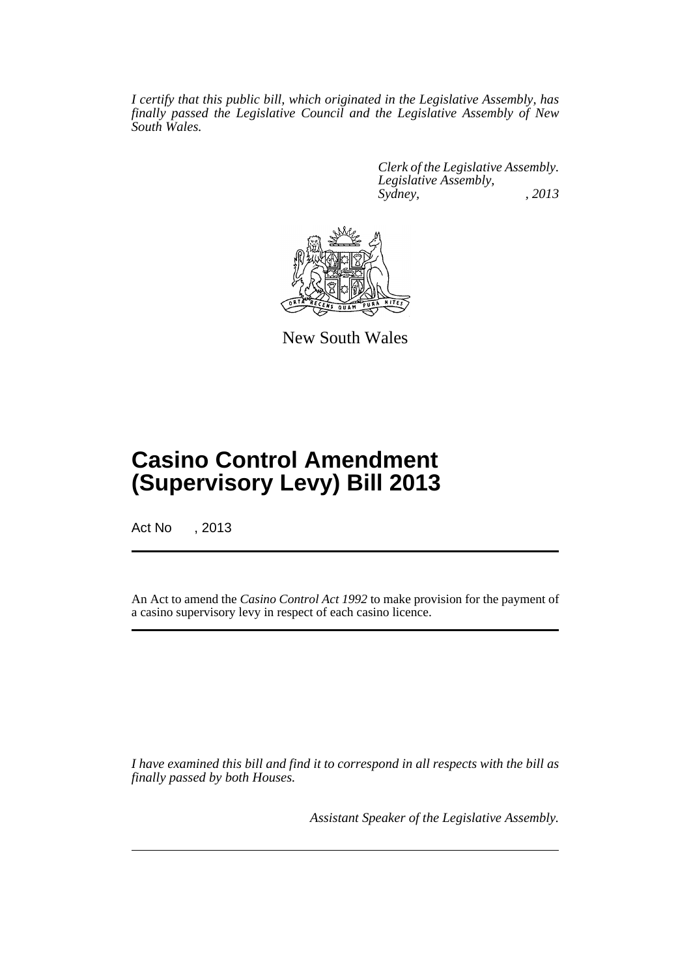*I certify that this public bill, which originated in the Legislative Assembly, has finally passed the Legislative Council and the Legislative Assembly of New South Wales.*

> *Clerk of the Legislative Assembly. Legislative Assembly, Sydney, , 2013*



New South Wales

## **Casino Control Amendment (Supervisory Levy) Bill 2013**

Act No , 2013

An Act to amend the *Casino Control Act 1992* to make provision for the payment of a casino supervisory levy in respect of each casino licence.

*I have examined this bill and find it to correspond in all respects with the bill as finally passed by both Houses.*

*Assistant Speaker of the Legislative Assembly.*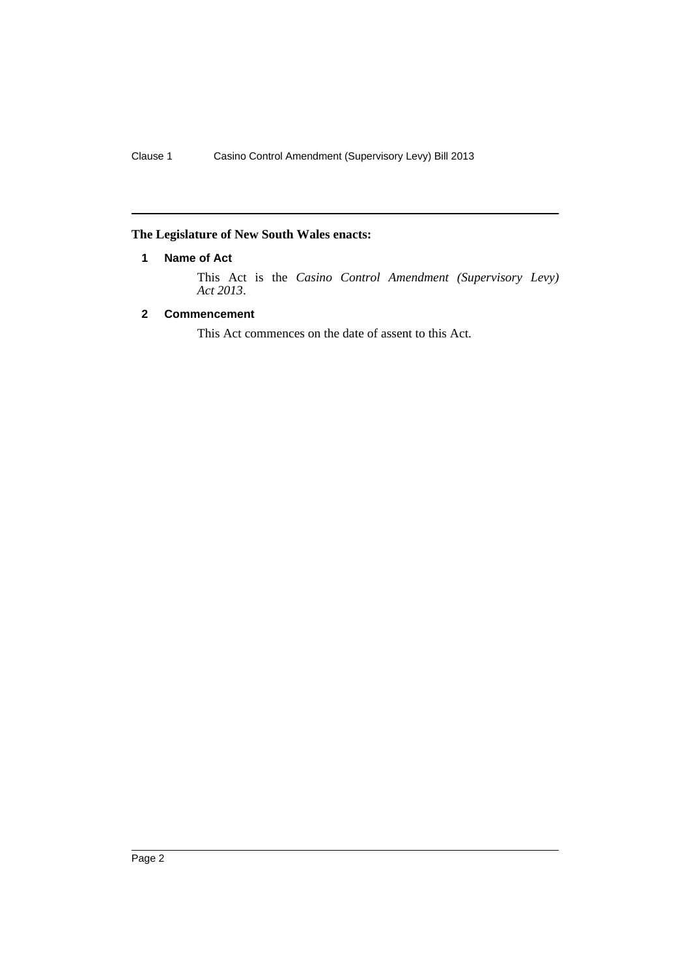## <span id="page-3-0"></span>**The Legislature of New South Wales enacts:**

## **1 Name of Act**

This Act is the *Casino Control Amendment (Supervisory Levy) Act 2013*.

## <span id="page-3-1"></span>**2 Commencement**

This Act commences on the date of assent to this Act.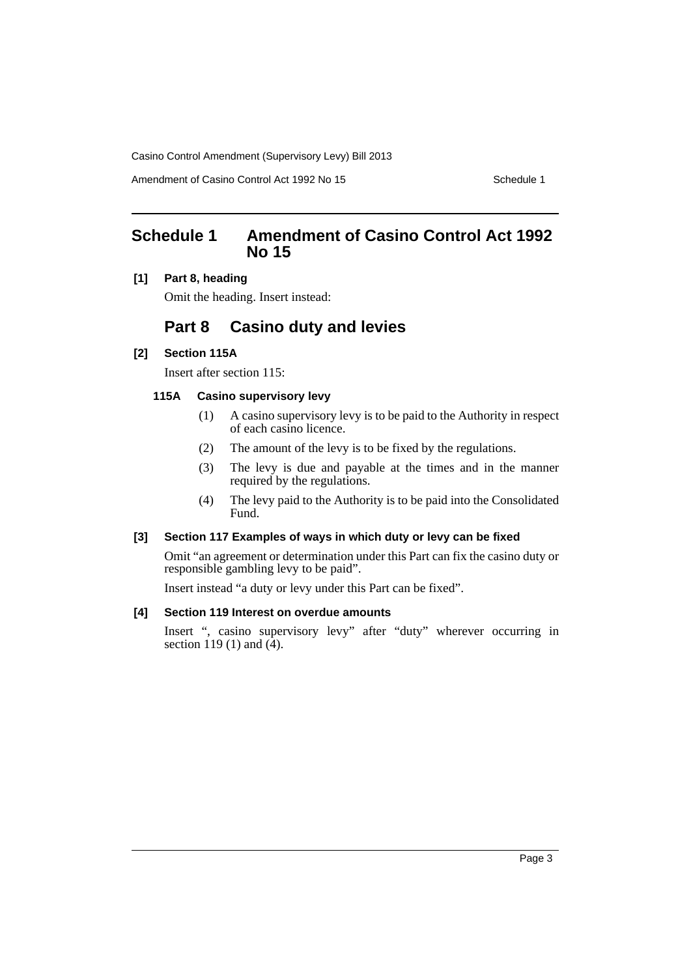Casino Control Amendment (Supervisory Levy) Bill 2013

Amendment of Casino Control Act 1992 No 15 Schedule 1

## <span id="page-4-0"></span>**Schedule 1 Amendment of Casino Control Act 1992 No 15**

**[1] Part 8, heading**

Omit the heading. Insert instead:

## **Part 8 Casino duty and levies**

### **[2] Section 115A**

Insert after section 115:

### **115A Casino supervisory levy**

- (1) A casino supervisory levy is to be paid to the Authority in respect of each casino licence.
- (2) The amount of the levy is to be fixed by the regulations.
- (3) The levy is due and payable at the times and in the manner required by the regulations.
- (4) The levy paid to the Authority is to be paid into the Consolidated Fund.

## **[3] Section 117 Examples of ways in which duty or levy can be fixed**

Omit "an agreement or determination under this Part can fix the casino duty or responsible gambling levy to be paid".

Insert instead "a duty or levy under this Part can be fixed".

### **[4] Section 119 Interest on overdue amounts**

Insert ", casino supervisory levy" after "duty" wherever occurring in section 119 (1) and  $(4)$ .